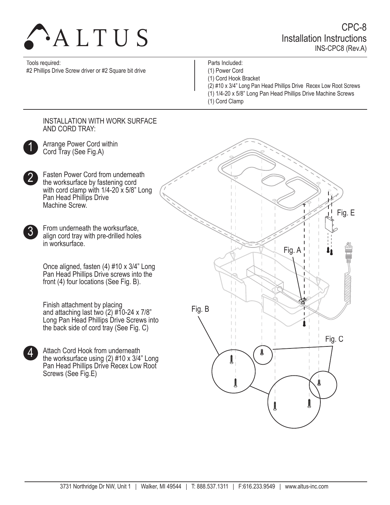

CPC-8 Installation Instructions INS-CPC8 (Rev.A)

Tools required:

#2 Phillips Drive Screw driver or #2 Square bit drive

Parts Included: (1) Power Cord

(1) Cord Hook Bracket

- (2) #10 x 3/4" Long Pan Head Phillips Drive Recex Low Root Screws
- (1) 1/4-20 x 5/8" Long Pan Head Phillips Drive Machine Screws
- (1) Cord Clamp